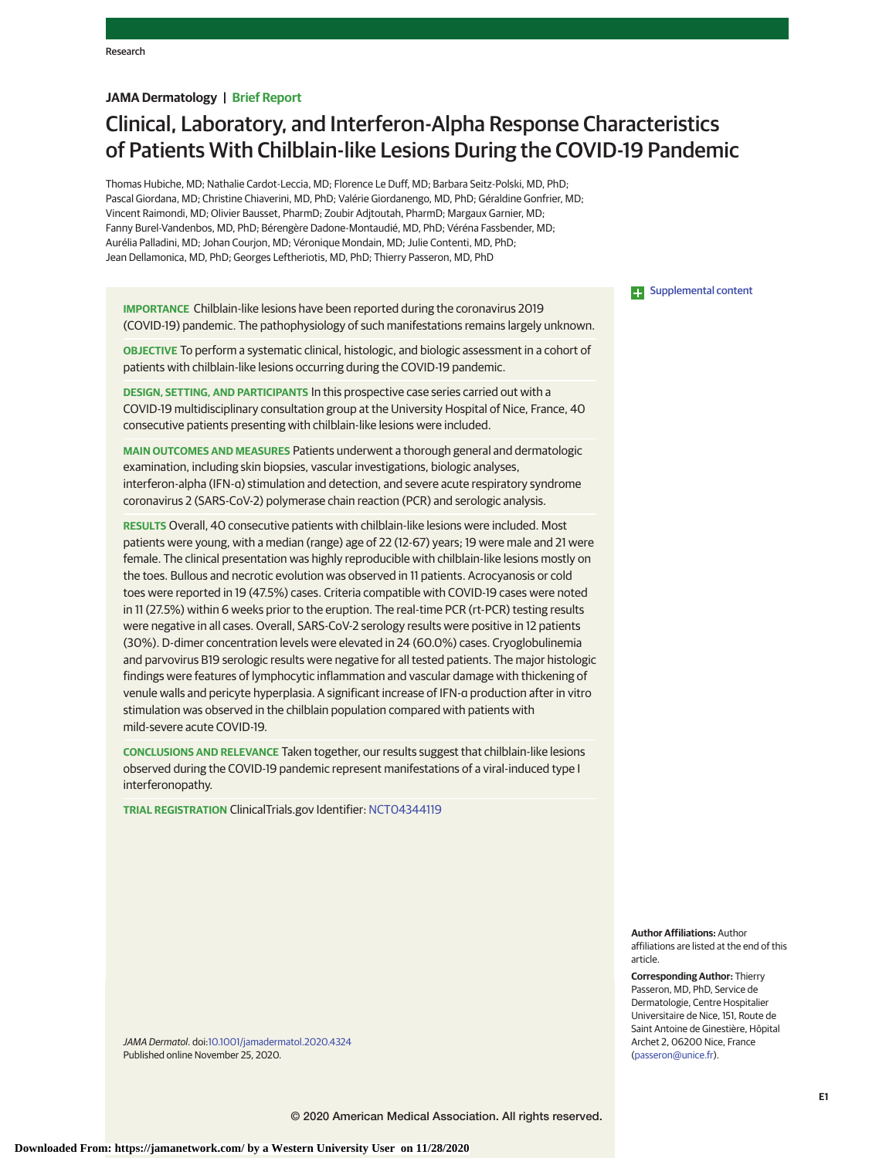## **JAMA Dermatology | Brief Report**

# Clinical, Laboratory, and Interferon-Alpha Response Characteristics of Patients With Chilblain-like Lesions During the COVID-19 Pandemic

Thomas Hubiche, MD; Nathalie Cardot-Leccia, MD; Florence Le Duff, MD; Barbara Seitz-Polski, MD, PhD; Pascal Giordana, MD; Christine Chiaverini, MD, PhD; Valérie Giordanengo, MD, PhD; Géraldine Gonfrier, MD; Vincent Raimondi, MD; Olivier Bausset, PharmD; Zoubir Adjtoutah, PharmD; Margaux Garnier, MD; Fanny Burel-Vandenbos, MD, PhD; Bérengère Dadone-Montaudié, MD, PhD; Véréna Fassbender, MD; Aurélia Palladini, MD; Johan Courjon, MD; Véronique Mondain, MD; Julie Contenti, MD, PhD; Jean Dellamonica, MD, PhD; Georges Leftheriotis, MD, PhD; Thierry Passeron, MD, PhD

**IMPORTANCE** Chilblain-like lesions have been reported during the coronavirus 2019 (COVID-19) pandemic. The pathophysiology of such manifestations remains largely unknown.

**OBJECTIVE** To perform a systematic clinical, histologic, and biologic assessment in a cohort of patients with chilblain-like lesions occurring during the COVID-19 pandemic.

**DESIGN, SETTING, AND PARTICIPANTS** In this prospective case series carried out with a COVID-19 multidisciplinary consultation group at the University Hospital of Nice, France, 40 consecutive patients presenting with chilblain-like lesions were included.

**MAIN OUTCOMES AND MEASURES** Patients underwent a thorough general and dermatologic examination, including skin biopsies, vascular investigations, biologic analyses, interferon-alpha (IFN-α) stimulation and detection, and severe acute respiratory syndrome coronavirus 2 (SARS-CoV-2) polymerase chain reaction (PCR) and serologic analysis.

**RESULTS** Overall, 40 consecutive patients with chilblain-like lesions were included. Most patients were young, with a median (range) age of 22 (12-67) years; 19 were male and 21 were female. The clinical presentation was highly reproducible with chilblain-like lesions mostly on the toes. Bullous and necrotic evolution was observed in 11 patients. Acrocyanosis or cold toes were reported in 19 (47.5%) cases. Criteria compatible with COVID-19 cases were noted in 11 (27.5%) within 6 weeks prior to the eruption. The real-time PCR (rt-PCR) testing results were negative in all cases. Overall, SARS-CoV-2 serology results were positive in 12 patients (30%). D-dimer concentration levels were elevated in 24 (60.0%) cases. Cryoglobulinemia and parvovirus B19 serologic results were negative for all tested patients. The major histologic findings were features of lymphocytic inflammation and vascular damage with thickening of venule walls and pericyte hyperplasia. A significant increase of IFN-α production after in vitro stimulation was observed in the chilblain population compared with patients with mild-severe acute COVID-19.

**CONCLUSIONS AND RELEVANCE** Taken together, our results suggest that chilblain-like lesions observed during the COVID-19 pandemic represent manifestations of a viral-induced type I interferonopathy.

**TRIAL REGISTRATION** ClinicalTrials.gov Identifier: NCT04344119

**Examplemental content** 

**Author Affiliations:** Author affiliations are listed at the end of this article.

**Corresponding Author:** Thierry Passeron, MD, PhD, Service de Dermatologie, Centre Hospitalier Universitaire de Nice, 151, Route de Saint Antoine de Ginestière, Hôpital Archet 2, 06200 Nice, France (passeron@unice.fr).

JAMA Dermatol. doi:10.1001/jamadermatol.2020.4324 Published online November 25, 2020.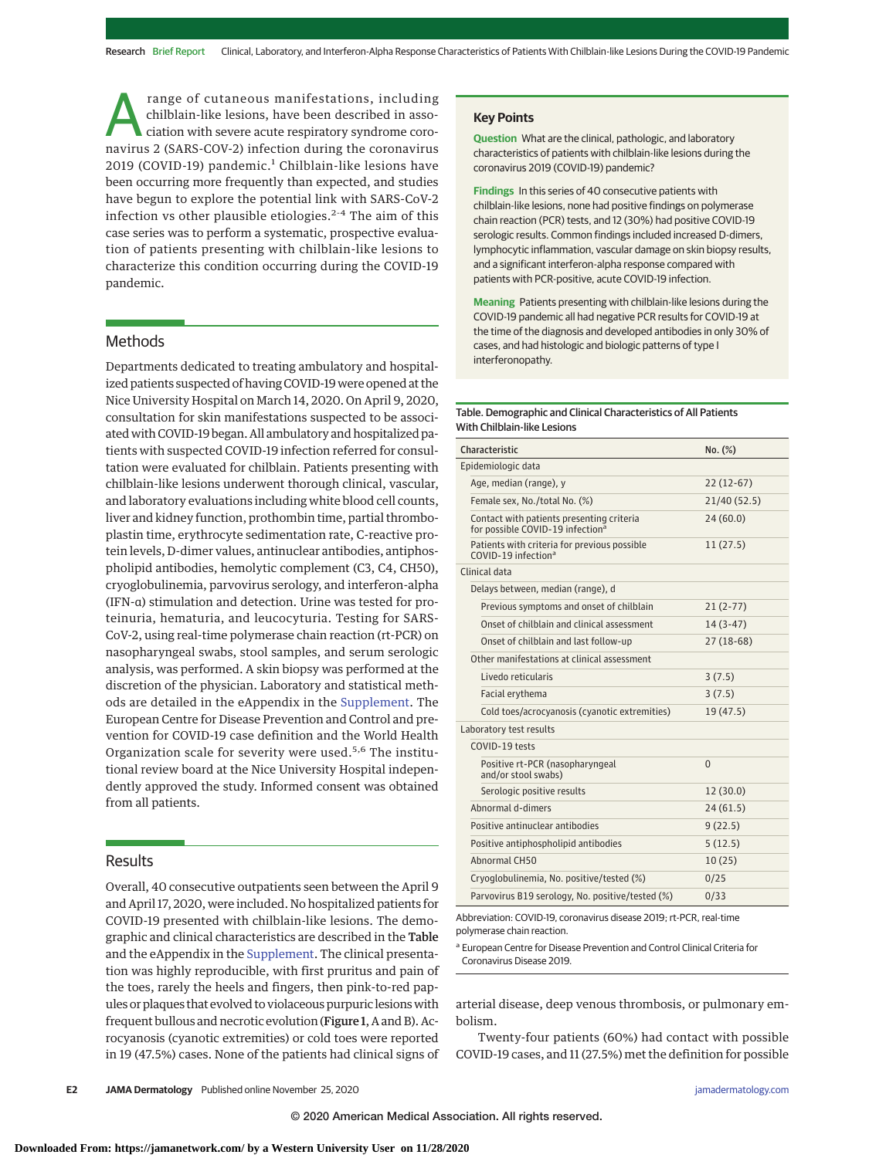range of cutaneous manifestations, including<br>chilblain-like lesions, have been described in asso-<br>ciation with severe acute respiratory syndrome coro-<br>navirus 2 (SARS-COV-2) infection during the coronavirus chilblain-like lesions, have been described in association with severe acute respiratory syndrome coronavirus 2 (SARS-COV-2) infection during the coronavirus 2019 (COVID-19) pandemic.<sup>1</sup> Chilblain-like lesions have been occurring more frequently than expected, and studies have begun to explore the potential link with SARS-CoV-2 infection vs other plausible etiologies.<sup>2-4</sup> The aim of this case series was to perform a systematic, prospective evaluation of patients presenting with chilblain-like lesions to characterize this condition occurring during the COVID-19 pandemic.

## **Methods**

Departments dedicated to treating ambulatory and hospitalized patients suspected of having COVID-19 were opened at the Nice University Hospital on March 14, 2020. On April 9, 2020, consultation for skin manifestations suspected to be associated with COVID-19 began. All ambulatory and hospitalized patients with suspected COVID-19 infection referred for consultation were evaluated for chilblain. Patients presenting with chilblain-like lesions underwent thorough clinical, vascular, and laboratory evaluations including white blood cell counts, liver and kidney function, prothombin time, partial thromboplastin time, erythrocyte sedimentation rate, C-reactive protein levels, D-dimer values, antinuclear antibodies, antiphospholipid antibodies, hemolytic complement (C3, C4, CH50), cryoglobulinemia, parvovirus serology, and interferon-alpha (IFN-α) stimulation and detection. Urine was tested for proteinuria, hematuria, and leucocyturia. Testing for SARS-CoV-2, using real-time polymerase chain reaction (rt-PCR) on nasopharyngeal swabs, stool samples, and serum serologic analysis, was performed. A skin biopsy was performed at the discretion of the physician. Laboratory and statistical methods are detailed in the eAppendix in the Supplement. The European Centre for Disease Prevention and Control and prevention for COVID-19 case definition and the World Health Organization scale for severity were used.<sup>5,6</sup> The institutional review board at the Nice University Hospital independently approved the study. Informed consent was obtained from all patients.

## Results

Overall, 40 consecutive outpatients seen between the April 9 and April 17, 2020, were included. No hospitalized patients for COVID-19 presented with chilblain-like lesions. The demographic and clinical characteristics are described in the Table and the eAppendix in the Supplement. The clinical presentation was highly reproducible, with first pruritus and pain of the toes, rarely the heels and fingers, then pink-to-red papules or plaques that evolved to violaceous purpuric lesions with frequent bullous and necrotic evolution (Figure 1, A and B). Acrocyanosis (cyanotic extremities) or cold toes were reported in 19 (47.5%) cases. None of the patients had clinical signs of

## **Key Points**

**Question** What are the clinical, pathologic, and laboratory characteristics of patients with chilblain-like lesions during the coronavirus 2019 (COVID-19) pandemic?

**Findings** In this series of 40 consecutive patients with chilblain-like lesions, none had positive findings on polymerase chain reaction (PCR) tests, and 12 (30%) had positive COVID-19 serologic results. Common findings included increased D-dimers, lymphocytic inflammation, vascular damage on skin biopsy results, and a significant interferon-alpha response compared with patients with PCR-positive, acute COVID-19 infection.

**Meaning** Patients presenting with chilblain-like lesions during the COVID-19 pandemic all had negative PCR results for COVID-19 at the time of the diagnosis and developed antibodies in only 30% of cases, and had histologic and biologic patterns of type I interferonopathy.

### Table. Demographic and Clinical Characteristics of All Patients With Chilblain-like Lesions

| Characteristic                                                                            | $No.$ $(\%)$ |
|-------------------------------------------------------------------------------------------|--------------|
| Epidemiologic data                                                                        |              |
| Age, median (range), y                                                                    | $22(12-67)$  |
| Female sex, No./total No. (%)                                                             | 21/40 (52.5) |
| Contact with patients presenting criteria<br>for possible COVID-19 infection <sup>a</sup> | 24(60.0)     |
| Patients with criteria for previous possible<br>COVID-19 infection <sup>a</sup>           | 11(27.5)     |
| Clinical data                                                                             |              |
| Delays between, median (range), d                                                         |              |
| Previous symptoms and onset of chilblain                                                  | $21(2-77)$   |
| Onset of chilblain and clinical assessment                                                | $14(3-47)$   |
| Onset of chilblain and last follow-up                                                     | $27(18-68)$  |
| Other manifestations at clinical assessment                                               |              |
| Livedo reticularis                                                                        | 3(7.5)       |
| Facial erythema                                                                           | 3(7.5)       |
| Cold toes/acrocyanosis (cyanotic extremities)                                             | 19 (47.5)    |
| Laboratory test results                                                                   |              |
| COVID-19 tests                                                                            |              |
| Positive rt-PCR (nasopharyngeal<br>and/or stool swabs)                                    | $\Omega$     |
| Serologic positive results                                                                | 12(30.0)     |
| Abnormal d-dimers                                                                         | 24(61.5)     |
| Positive antinuclear antibodies                                                           | 9(22.5)      |
| Positive antiphospholipid antibodies                                                      | 5(12.5)      |
| Abnormal CH50                                                                             | 10(25)       |
| Cryoglobulinemia, No. positive/tested (%)                                                 | 0/25         |
| Parvovirus B19 serology, No. positive/tested (%)                                          | 0/33         |

Abbreviation: COVID-19, coronavirus disease 2019; rt-PCR, real-time polymerase chain reaction.

<sup>a</sup> European Centre for Disease Prevention and Control Clinical Criteria for Coronavirus Disease 2019.

arterial disease, deep venous thrombosis, or pulmonary embolism.

Twenty-four patients (60%) had contact with possible COVID-19 cases, and 11 (27.5%) met the definition for possible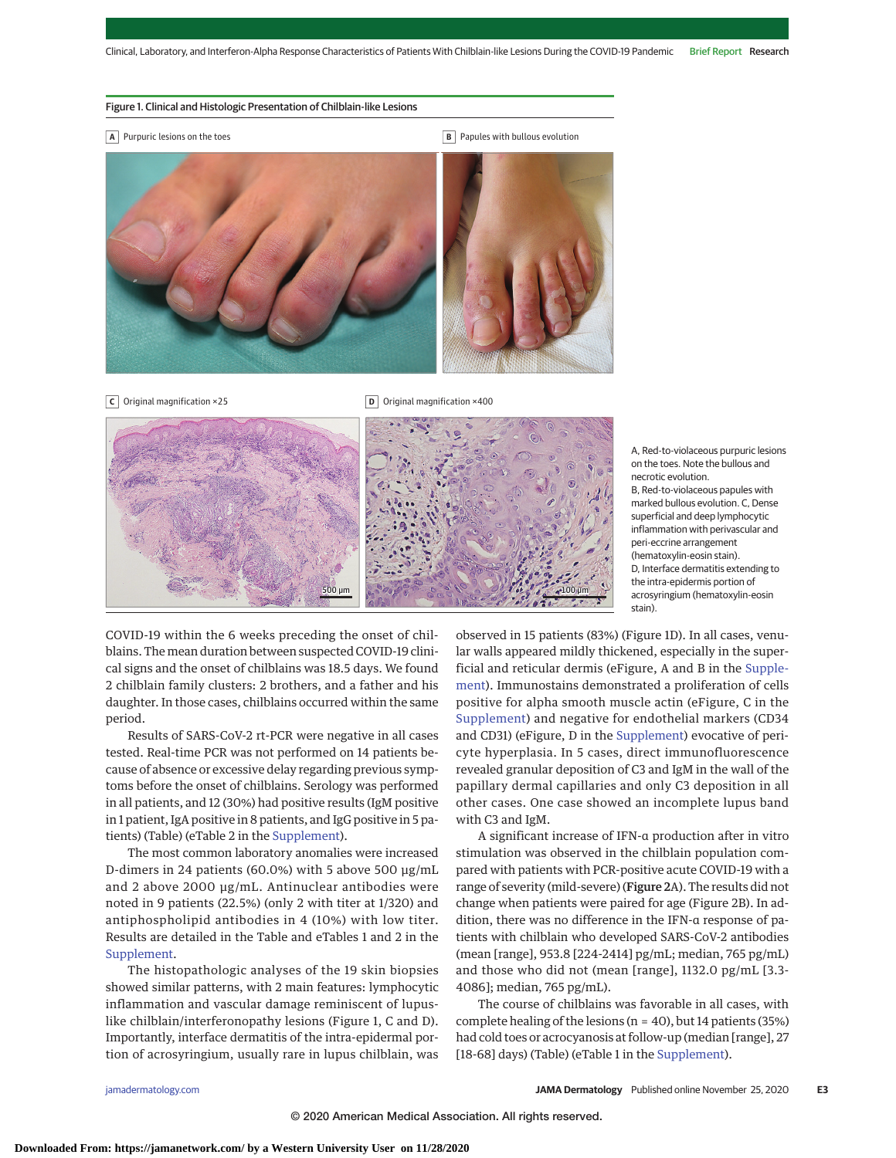#### Figure 1. Clinical and Histologic Presentation of Chilblain-like Lesions

- **A** Purpuric lesions on the toes **B** Papules with bullous evolution
	-



**C** Original magnification ×25 **D** Original magnification ×400



A, Red-to-violaceous purpuric lesions on the toes. Note the bullous and necrotic evolution. B, Red-to-violaceous papules with marked bullous evolution. C. Dense superficial and deep lymphocytic inflammation with perivascular and peri-eccrine arrangement (hematoxylin-eosin stain). D, Interface dermatitis extending to the intra-epidermis portion of acrosyringium (hematoxylin-eosin stain).

COVID-19 within the 6 weeks preceding the onset of chilblains. The mean duration between suspected COVID-19 clinical signs and the onset of chilblains was 18.5 days. We found 2 chilblain family clusters: 2 brothers, and a father and his daughter. In those cases, chilblains occurred within the same period.

Results of SARS-CoV-2 rt-PCR were negative in all cases tested. Real-time PCR was not performed on 14 patients because of absence or excessive delay regarding previous symptoms before the onset of chilblains. Serology was performed in all patients, and 12 (30%) had positive results (IgM positive in 1 patient, IgA positive in 8 patients, and IgG positive in 5 patients) (Table) (eTable 2 in the Supplement).

The most common laboratory anomalies were increased D-dimers in 24 patients (60.0%) with 5 above 500 μg/mL and 2 above 2000 μg/mL. Antinuclear antibodies were noted in 9 patients (22.5%) (only 2 with titer at 1/320) and antiphospholipid antibodies in 4 (10%) with low titer. Results are detailed in the Table and eTables 1 and 2 in the Supplement.

The histopathologic analyses of the 19 skin biopsies showed similar patterns, with 2 main features: lymphocytic inflammation and vascular damage reminiscent of lupuslike chilblain/interferonopathy lesions (Figure 1, C and D). Importantly, interface dermatitis of the intra-epidermal portion of acrosyringium, usually rare in lupus chilblain, was

observed in 15 patients (83%) (Figure 1D). In all cases, venular walls appeared mildly thickened, especially in the superficial and reticular dermis (eFigure, A and B in the Supplement). Immunostains demonstrated a proliferation of cells positive for alpha smooth muscle actin (eFigure, C in the Supplement) and negative for endothelial markers (CD34 and CD31) (eFigure, D in the Supplement) evocative of pericyte hyperplasia. In 5 cases, direct immunofluorescence revealed granular deposition of C3 and IgM in the wall of the papillary dermal capillaries and only C3 deposition in all other cases. One case showed an incomplete lupus band with C3 and IgM.

A significant increase of IFN-α production after in vitro stimulation was observed in the chilblain population compared with patients with PCR-positive acute COVID-19 with a range of severity (mild-severe) (Figure 2A). The results did not change when patients were paired for age (Figure 2B). In addition, there was no difference in the IFN-α response of patients with chilblain who developed SARS-CoV-2 antibodies (mean [range], 953.8 [224-2414] pg/mL; median, 765 pg/mL) and those who did not (mean [range], 1132.0 pg/mL [3.3- 4086]; median, 765 pg/mL).

The course of chilblains was favorable in all cases, with complete healing of the lesions (n = 40), but 14 patients (35%) had cold toes or acrocyanosis at follow-up (median [range], 27 [18-68] days) (Table) (eTable 1 in the Supplement).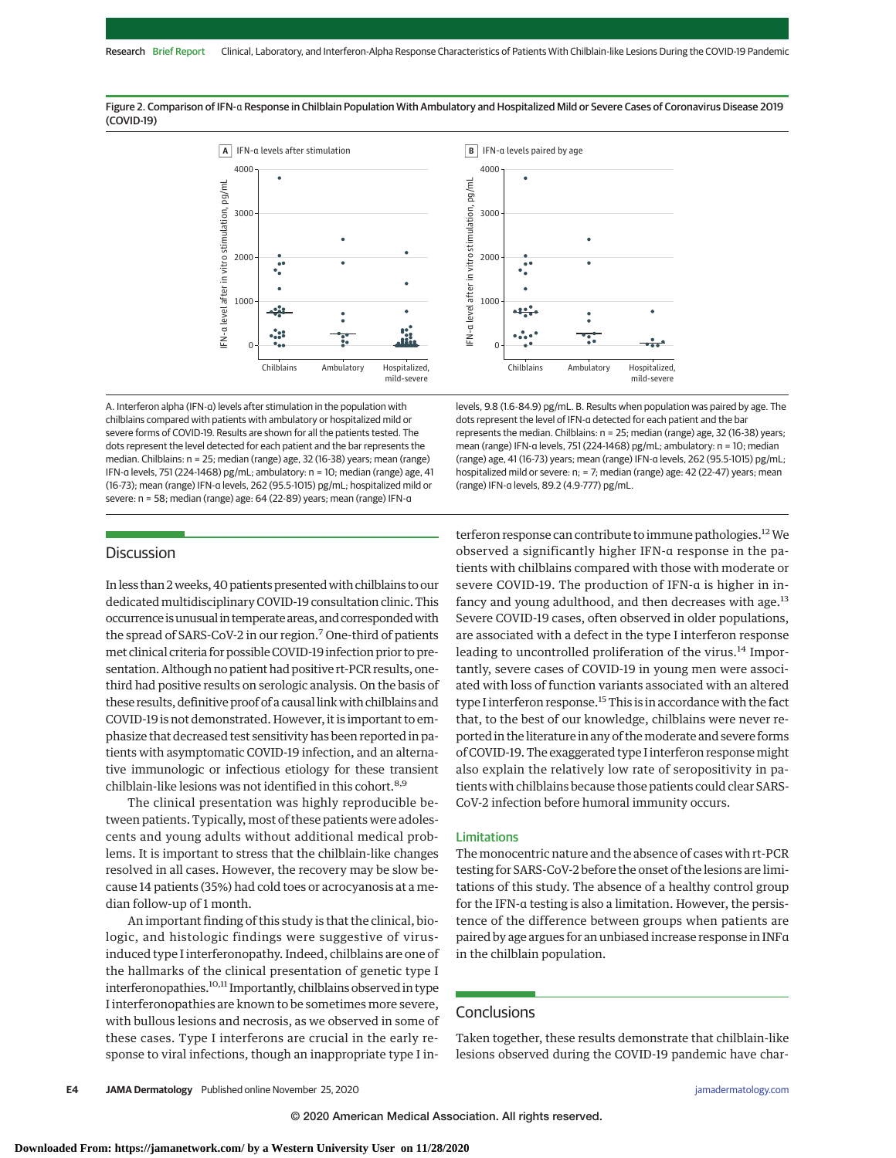Figure 2. Comparison of IFN-α Response in Chilblain Population With Ambulatory and Hospitalized Mild or Severe Cases of Coronavirus Disease 2019 (COVID-19)





A. Interferon alpha (IFN-α) levels after stimulation in the population with chilblains compared with patients with ambulatory or hospitalized mild or severe forms of COVID-19. Results are shown for all the patients tested. The dots represent the level detected for each patient and the bar represents the median. Chilblains: n = 25; median (range) age, 32 (16-38) years; mean (range) IFN-α levels, 751 (224-1468) pg/mL; ambulatory: n = 10; median (range) age, 41 (16-73); mean (range) IFN-α levels, 262 (95.5-1015) pg/mL; hospitalized mild or severe: n = 58; median (range) age: 64 (22-89) years; mean (range) IFN-α

levels, 9.8 (1.6-84.9) pg/mL. B. Results when population was paired by age. The dots represent the level of IFN-α detected for each patient and the bar represents the median. Chilblains: n = 25; median (range) age, 32 (16-38) years; mean (range) IFN-α levels, 751 (224-1468) pg/mL; ambulatory: n = 10; median (range) age, 41 (16-73) years; mean (range) IFN-α levels, 262 (95.5-1015) pg/mL; hospitalized mild or severe: n; = 7; median (range) age: 42 (22-47) years; mean (range) IFN-α levels, 89.2 (4.9-777) pg/mL.

# **Discussion**

In less than 2 weeks, 40 patients presented with chilblains to our dedicated multidisciplinary COVID-19 consultation clinic. This occurrence is unusual in temperate areas, and corresponded with the spread of SARS-CoV-2 in our region.7 One-third of patients met clinical criteria for possible COVID-19 infection prior to presentation. Although no patient had positive rt-PCR results, onethird had positive results on serologic analysis. On the basis of these results, definitive proof of a causal linkwith chilblains and COVID-19 is not demonstrated.However, it is important to emphasize that decreased test sensitivity has been reported in patients with asymptomatic COVID-19 infection, and an alternative immunologic or infectious etiology for these transient chilblain-like lesions was not identified in this cohort.<sup>8,9</sup>

The clinical presentation was highly reproducible between patients. Typically, most of these patients were adolescents and young adults without additional medical problems. It is important to stress that the chilblain-like changes resolved in all cases. However, the recovery may be slow because 14 patients (35%) had cold toes or acrocyanosis at a median follow-up of 1 month.

An important finding of this study is that the clinical, biologic, and histologic findings were suggestive of virusinduced type I interferonopathy. Indeed, chilblains are one of the hallmarks of the clinical presentation of genetic type I interferonopathies.10,11 Importantly, chilblains observed in type I interferonopathies are known to be sometimes more severe, with bullous lesions and necrosis, as we observed in some of these cases. Type I interferons are crucial in the early response to viral infections, though an inappropriate type I in-

terferon response can contribute to immune pathologies.<sup>12</sup> We observed a significantly higher IFN-α response in the patients with chilblains compared with those with moderate or severe COVID-19. The production of IFN-α is higher in infancy and young adulthood, and then decreases with age. $^{13}$ Severe COVID-19 cases, often observed in older populations, are associated with a defect in the type I interferon response leading to uncontrolled proliferation of the virus.<sup>14</sup> Importantly, severe cases of COVID-19 in young men were associated with loss of function variants associated with an altered type I interferon response.<sup>15</sup> This is in accordance with the fact that, to the best of our knowledge, chilblains were never reported in the literature in any of themoderate and severe forms of COVID-19. The exaggerated type I interferon responsemight also explain the relatively low rate of seropositivity in patients with chilblains because those patients could clear SARS-CoV-2 infection before humoral immunity occurs.

## Limitations

The monocentric nature and the absence of cases with rt-PCR testing for SARS-CoV-2 before the onset of the lesions are limitations of this study. The absence of a healthy control group for the IFN-α testing is also a limitation. However, the persistence of the difference between groups when patients are paired by age argues for an unbiased increase response in INFα in the chilblain population.

## **Conclusions**

Taken together, these results demonstrate that chilblain-like lesions observed during the COVID-19 pandemic have char